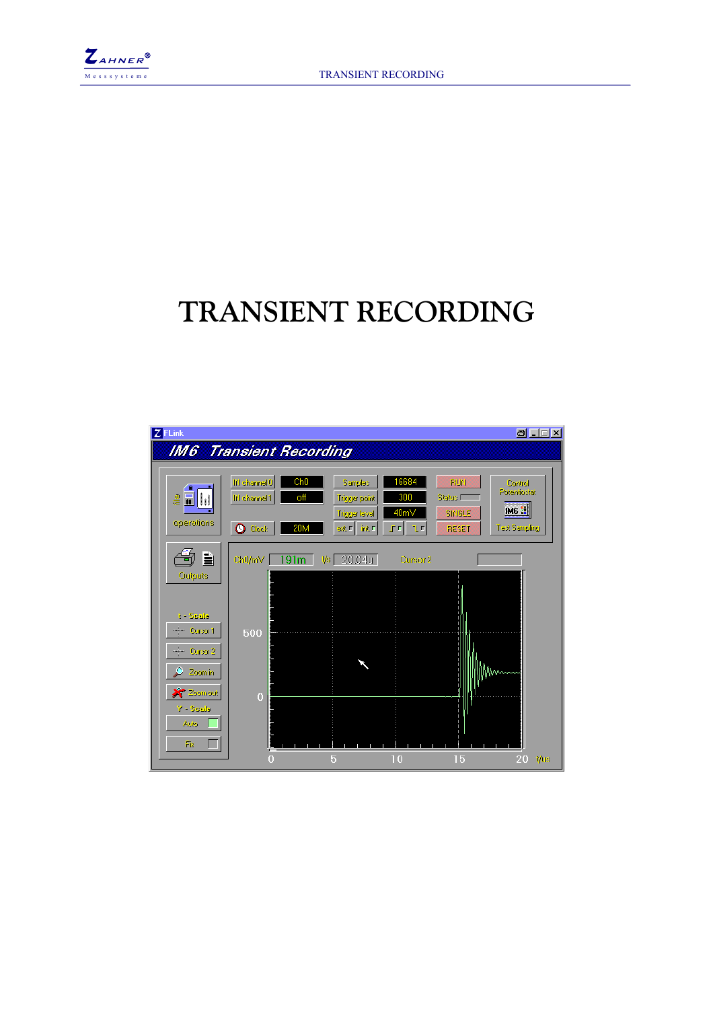

# **TRANSIENT RECORDING**

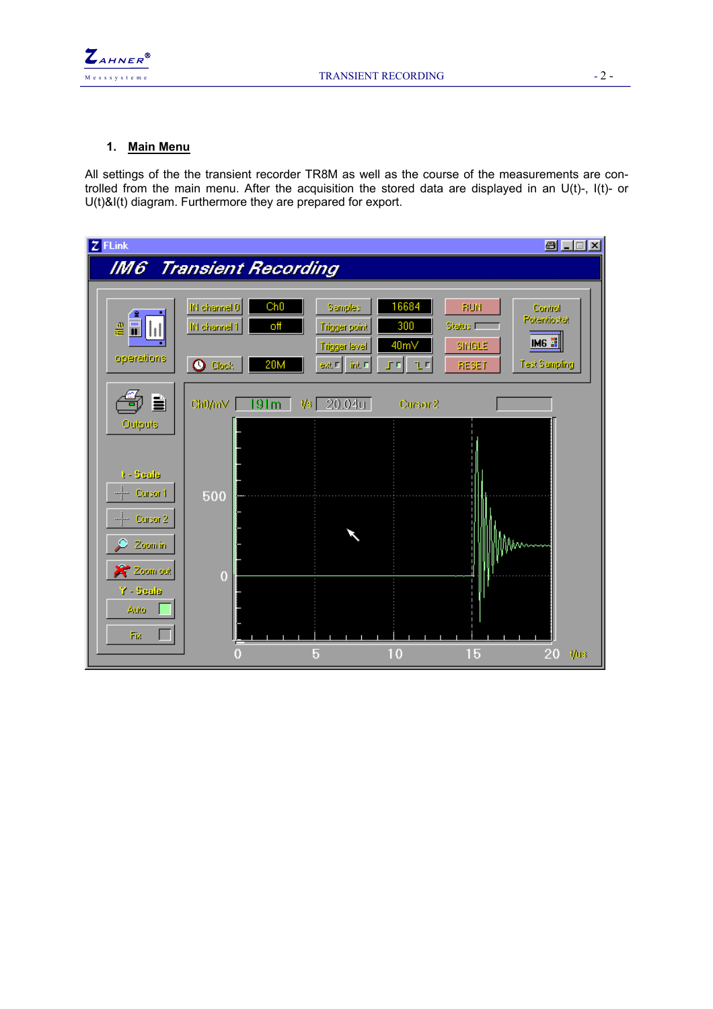

## **1. Main Menu**

All settings of the the transient recorder TR8M as well as the course of the measurements are controlled from the main menu. After the acquisition the stored data are displayed in an U(t)-, I(t)- or U(t)&I(t) diagram. Furthermore they are prepared for export.

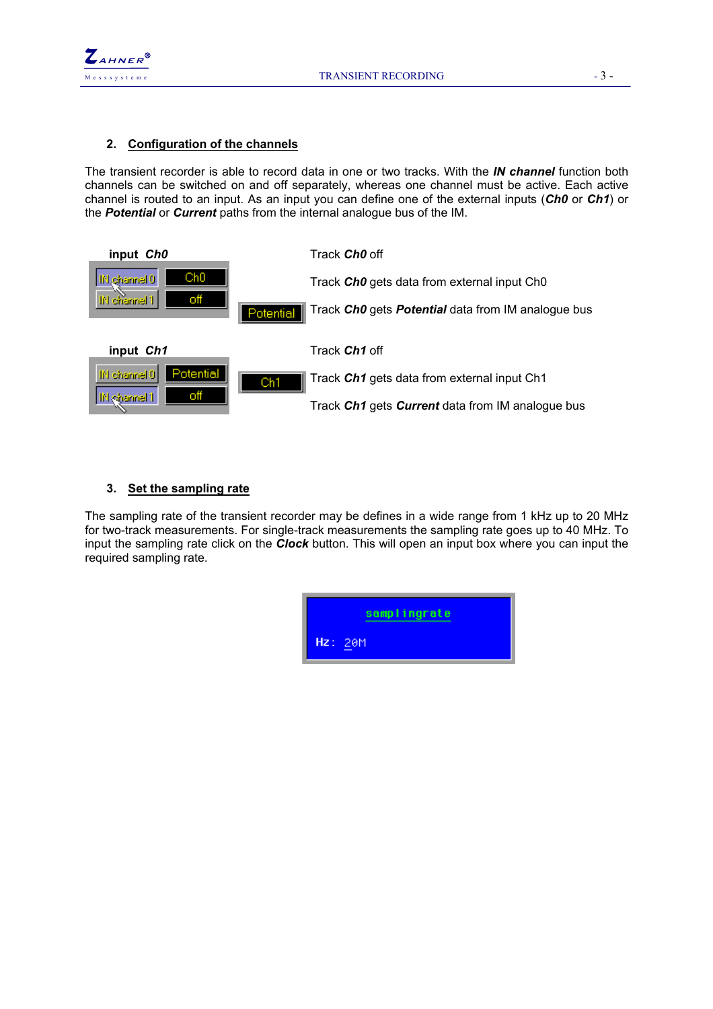



### **2. Configuration of the channels**

The transient recorder is able to record data in one or two tracks. With the *IN channel* function both channels can be switched on and off separately, whereas one channel must be active. Each active channel is routed to an input. As an input you can define one of the external inputs (*Ch0* or *Ch1*) or the *Potential* or *Current* paths from the internal analogue bus of the IM.

| input Ch <sub>0</sub>     | Track <b>Ch0</b> off                                            |
|---------------------------|-----------------------------------------------------------------|
| Ch0<br>10 Jehannel 0      | Track ChO gets data from external input ChO                     |
| off<br>IN channel 1       | Track ChO gets Potential data from IM analogue bus<br>Potential |
| input Ch1                 | Track Ch1 off                                                   |
| Potential<br>IN channel 0 | Track Ch1 gets data from external input Ch1<br>Ch1              |
| off<br>IN sharine! 1      | Track Ch1 gets Current data from IM analogue bus                |

## **3. Set the sampling rate**

The sampling rate of the transient recorder may be defines in a wide range from 1 kHz up to 20 MHz for two-track measurements. For single-track measurements the sampling rate goes up to 40 MHz. To input the sampling rate click on the *Clock* button. This will open an input box where you can input the required sampling rate.

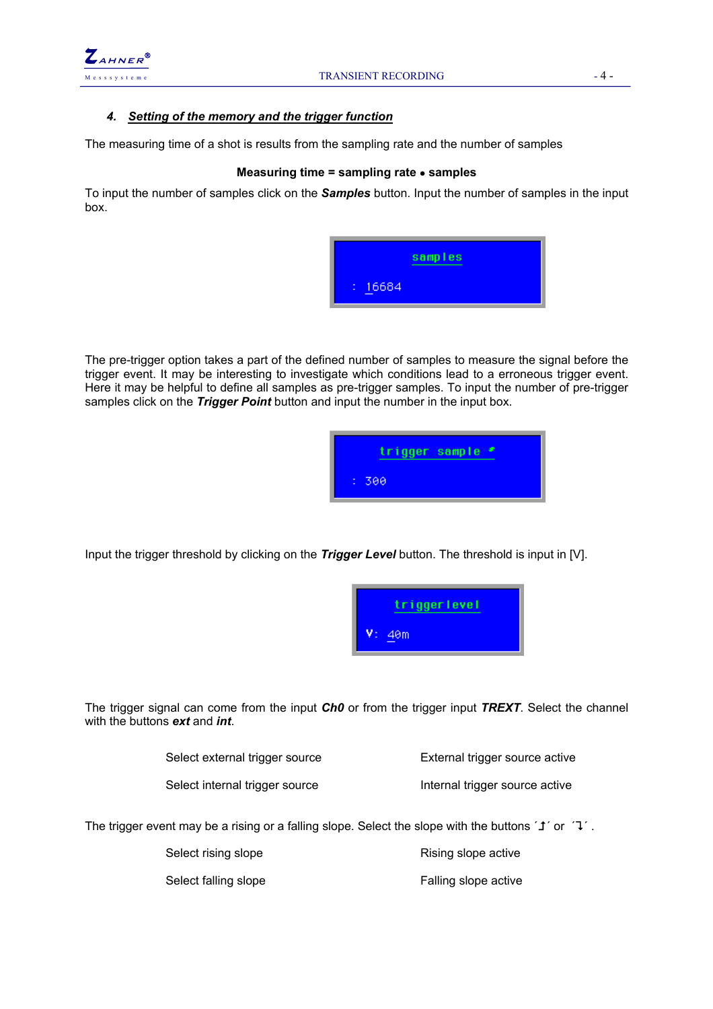

# *4. Setting of the memory and the trigger function*

The measuring time of a shot is results from the sampling rate and the number of samples

### **Measuring time = sampling rate** • **samples**

To input the number of samples click on the *Samples* button. Input the number of samples in the input box.



The pre-trigger option takes a part of the defined number of samples to measure the signal before the trigger event. It may be interesting to investigate which conditions lead to a erroneous trigger event. Here it may be helpful to define all samples as pre-trigger samples. To input the number of pre-trigger samples click on the **Trigger Point** button and input the number in the input box.



Input the trigger threshold by clicking on the *Trigger Level* button. The threshold is input in [V].



The trigger signal can come from the input *Ch0* or from the trigger input *TREXT*. Select the channel with the buttons *ext* and *int*.

| Select external trigger source | External trigger source active |
|--------------------------------|--------------------------------|
| Select internal trigger source | Internal trigger source active |

The trigger event may be a rising or a falling slope. Select the slope with the buttons ' $\mathbf{1}'$  or ' $\mathbf{1}'$ .

Select rising slope **Rising slope active** Rising slope active

Select falling slope **Falling** slope active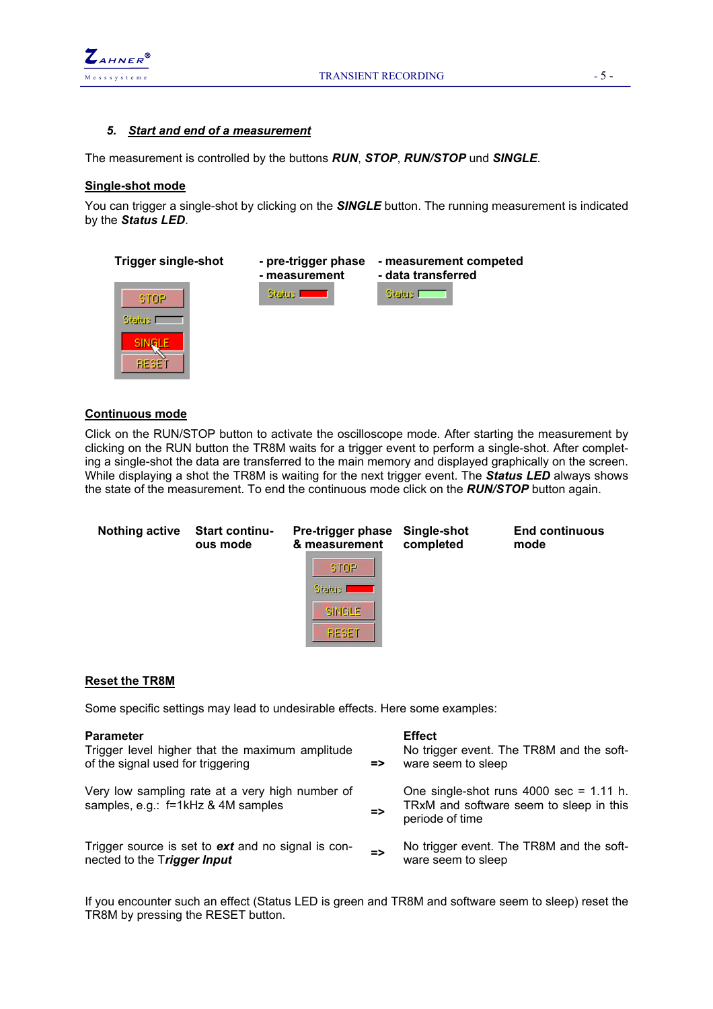

### *5. Start and end of a measurement*

The measurement is controlled by the buttons *RUN*, *STOP*, *RUN/STOP* und *SINGLE*.

### **Single-shot mode**

You can trigger a single-shot by clicking on the *SINGLE* button. The running measurement is indicated by the *Status LED*.



### **Continuous mode**

Click on the RUN/STOP button to activate the oscilloscope mode. After starting the measurement by clicking on the RUN button the TR8M waits for a trigger event to perform a single-shot. After completing a single-shot the data are transferred to the main memory and displayed graphically on the screen. While displaying a shot the TR8M is waiting for the next trigger event. The *Status LED* always shows the state of the measurement. To end the continuous mode click on the *RUN/STOP* button again.

| <b>Nothing active</b> | <b>Start continu-</b><br>ous mode | Pre-trigger phase<br>& measurement<br><b>STOP</b><br>Status I               | Single-shot<br>completed | <b>End continuous</b><br>mode |
|-----------------------|-----------------------------------|-----------------------------------------------------------------------------|--------------------------|-------------------------------|
|                       |                                   | SINGLE<br><b>RESET</b>                                                      |                          |                               |
| <b>Reset the TR8M</b> |                                   |                                                                             |                          |                               |
|                       |                                   | Some specific settings may lead to undesirable effects. Here some examples: |                          |                               |

| <b>Parameter</b><br>Trigger level higher that the maximum amplitude<br>of the signal used for triggering | $\Rightarrow$ | <b>Effect</b><br>No trigger event. The TR8M and the soft-<br>ware seem to sleep                                          |
|----------------------------------------------------------------------------------------------------------|---------------|--------------------------------------------------------------------------------------------------------------------------|
| Very low sampling rate at a very high number of<br>samples, e.g.: f=1kHz & 4M samples                    | $\Rightarrow$ | One single-shot runs $4000 \text{ sec} = 1.11 \text{ h}$ .<br>TRxM and software seem to sleep in this<br>periode of time |
| Trigger source is set to ext and no signal is con-<br>nected to the Trigger Input                        | $\Rightarrow$ | No trigger event. The TR8M and the soft-<br>ware seem to sleep                                                           |

If you encounter such an effect (Status LED is green and TR8M and software seem to sleep) reset the TR8M by pressing the RESET button.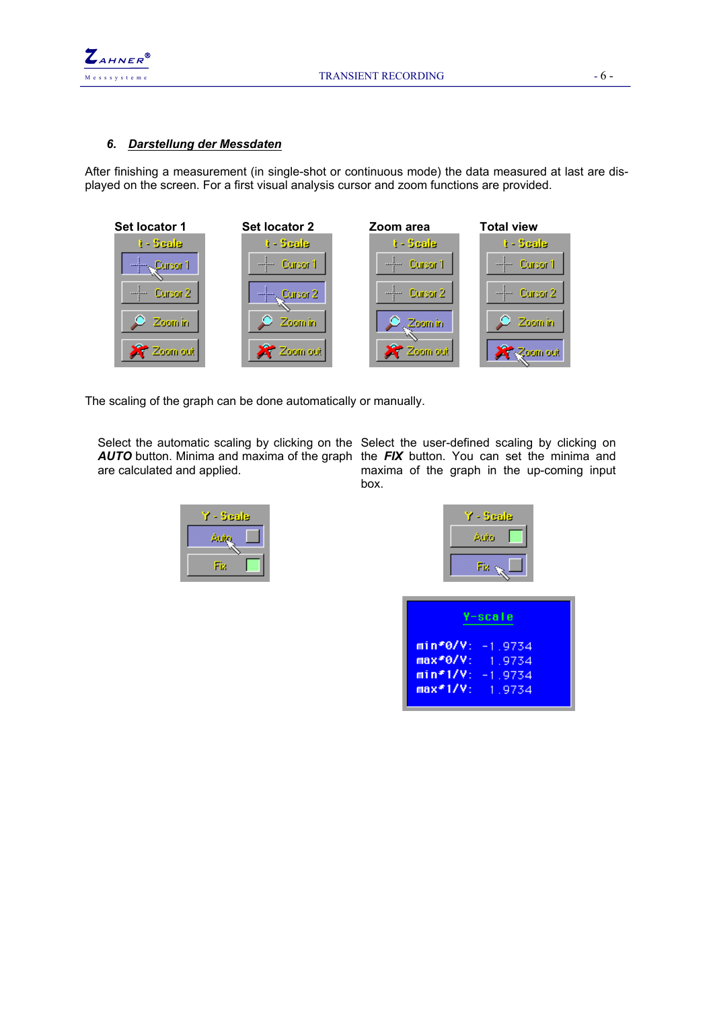

### *6. Darstellung der Messdaten*

After finishing a measurement (in single-shot or continuous mode) the data measured at last are displayed on the screen. For a first visual analysis cursor and zoom functions are provided.



The scaling of the graph can be done automatically or manually.

are calculated and applied.

Select the automatic scaling by clicking on the Select the user-defined scaling by clicking on *AUTO* button. Minima and maxima of the graph the *FIX* button. You can set the minima and maxima of the graph in the up-coming input box.

| - Seale |
|---------|
| 40      |
| Fiz     |
|         |

| Scale |
|-------|
| Auto  |
|       |

| Y-scale                                                                           |  |
|-----------------------------------------------------------------------------------|--|
| $min*0/V: -1.9734$<br>max*0/V: 1.9734<br>$min*1/V: -1.9734$<br>$max*1/V$ : 1.9734 |  |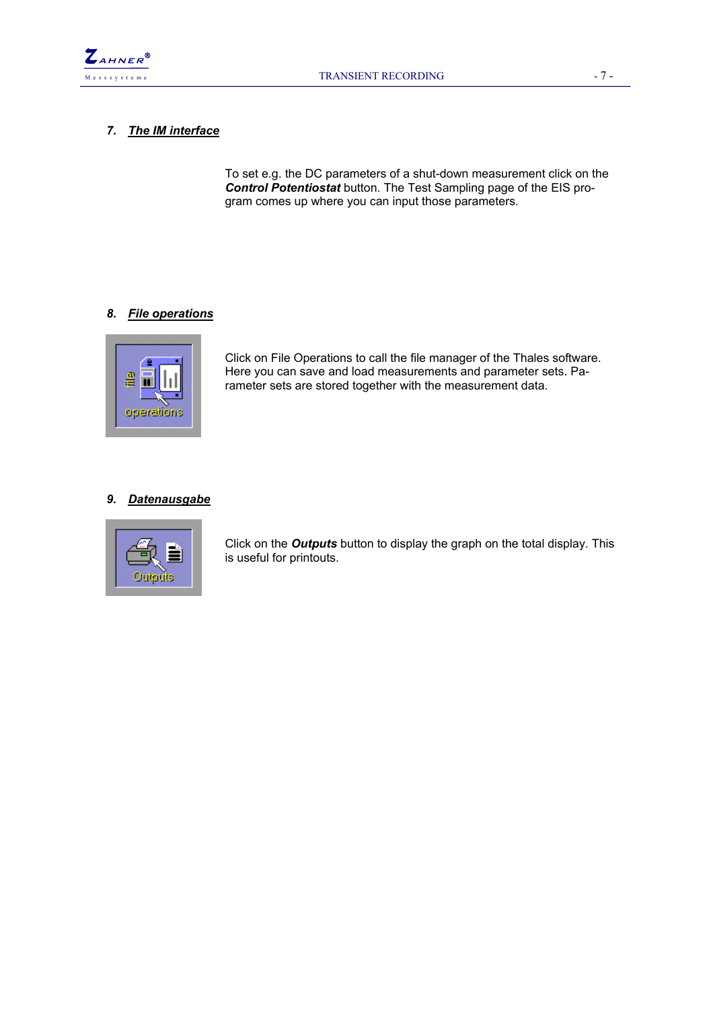

### *7. The IM interface*

To set e.g. the DC parameters of a shut-down measurement click on the *Control Potentiostat* button. The Test Sampling page of the EIS program comes up where you can input those parameters.

### *8. File operations*



Click on File Operations to call the file manager of the Thales software. Here you can save and load measurements and parameter sets. Parameter sets are stored together with the measurement data.

### *9. Datenausgabe*



Click on the *Outputs* button to display the graph on the total display. This is useful for printouts.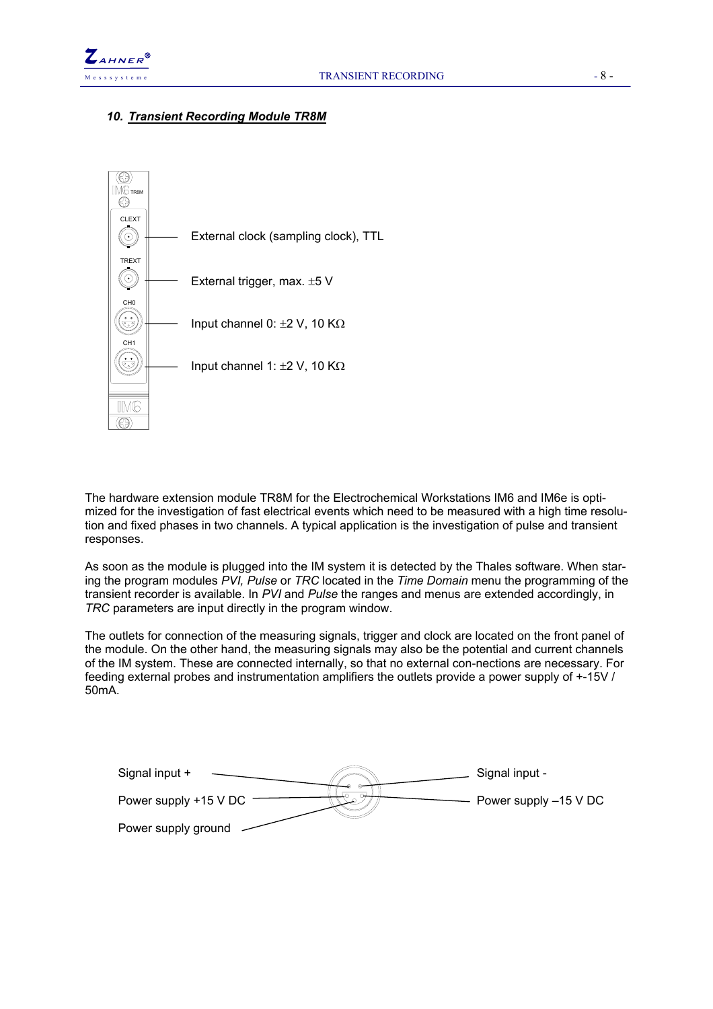

### *10. Transient Recording Module TR8M*



The hardware extension module TR8M for the Electrochemical Workstations IM6 and IM6e is optimized for the investigation of fast electrical events which need to be measured with a high time resolution and fixed phases in two channels. A typical application is the investigation of pulse and transient responses.

As soon as the module is plugged into the IM system it is detected by the Thales software. When staring the program modules *PVI, Pulse* or *TRC* located in the *Time Domain* menu the programming of the transient recorder is available. In *PVI* and *Pulse* the ranges and menus are extended accordingly, in *TRC* parameters are input directly in the program window.

The outlets for connection of the measuring signals, trigger and clock are located on the front panel of the module. On the other hand, the measuring signals may also be the potential and current channels of the IM system. These are connected internally, so that no external con-nections are necessary. For feeding external probes and instrumentation amplifiers the outlets provide a power supply of +-15V / 50mA.

| Signal input +        | Signal input -        |
|-----------------------|-----------------------|
| Power supply +15 V DC | Power supply -15 V DC |
| Power supply ground   |                       |